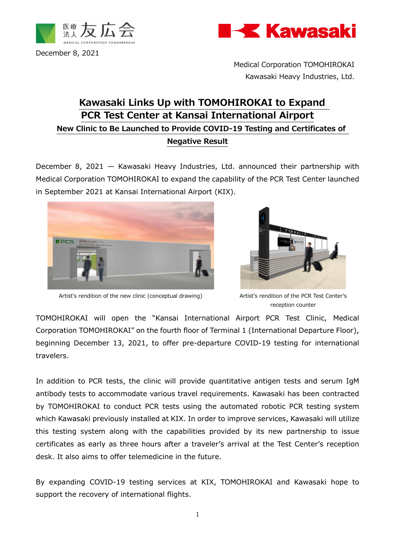



December 8, 2021

Medical Corporation TOMOHIROKAI Kawasaki Heavy Industries, Ltd.

## **Kawasaki Links Up with TOMOHIROKAI to Expand PCR Test Center at Kansai International Airport New Clinic to Be Launched to Provide COVID-19 Testing and Certificates of Negative Result**

December 8, 2021 — Kawasaki Heavy Industries, Ltd. announced their partnership with Medical Corporation TOMOHIROKAI to expand the capability of the PCR Test Center launched in September 2021 at Kansai International Airport (KIX).





Artist's rendition of the new clinic (conceptual drawing) Artist's rendition of the PCR Test Center's

reception counter

TOMOHIROKAI will open the "Kansai International Airport PCR Test Clinic, Medical Corporation TOMOHIROKAI" on the fourth floor of Terminal 1 (International Departure Floor), beginning December 13, 2021, to offer pre-departure COVID-19 testing for international travelers.

In addition to PCR tests, the clinic will provide quantitative antigen tests and serum IgM antibody tests to accommodate various travel requirements. Kawasaki has been contracted by TOMOHIROKAI to conduct PCR tests using the automated robotic PCR testing system which Kawasaki previously installed at KIX. In order to improve services, Kawasaki will utilize this testing system along with the capabilities provided by its new partnership to issue certificates as early as three hours after a traveler's arrival at the Test Center's reception desk. It also aims to offer telemedicine in the future.

By expanding COVID-19 testing services at KIX, TOMOHIROKAI and Kawasaki hope to support the recovery of international flights.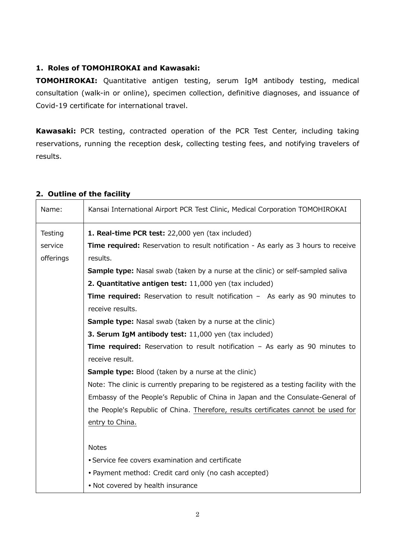## **1. Roles of TOMOHIROKAI and Kawasaki:**

**TOMOHIROKAI:** Quantitative antigen testing, serum IgM antibody testing, medical consultation (walk-in or online), specimen collection, definitive diagnoses, and issuance of Covid-19 certificate for international travel.

**Kawasaki:** PCR testing, contracted operation of the PCR Test Center, including taking reservations, running the reception desk, collecting testing fees, and notifying travelers of results.

| Name:                           | Kansai International Airport PCR Test Clinic, Medical Corporation TOMOHIROKAI                                                                                                                                                                                                                                                                                                                                                                                                                                                                                                                                                                                                                                                                                                                                              |
|---------------------------------|----------------------------------------------------------------------------------------------------------------------------------------------------------------------------------------------------------------------------------------------------------------------------------------------------------------------------------------------------------------------------------------------------------------------------------------------------------------------------------------------------------------------------------------------------------------------------------------------------------------------------------------------------------------------------------------------------------------------------------------------------------------------------------------------------------------------------|
| Testing<br>service<br>offerings | 1. Real-time PCR test: 22,000 yen (tax included)<br><b>Time required:</b> Reservation to result notification - As early as 3 hours to receive<br>results.<br><b>Sample type:</b> Nasal swab (taken by a nurse at the clinic) or self-sampled saliva<br>2. Quantitative antigen test: 11,000 yen (tax included)<br><b>Time required:</b> Reservation to result notification - As early as 90 minutes to<br>receive results.<br><b>Sample type:</b> Nasal swab (taken by a nurse at the clinic)<br>3. Serum IgM antibody test: 11,000 yen (tax included)<br><b>Time required:</b> Reservation to result notification - As early as 90 minutes to<br>receive result.<br><b>Sample type:</b> Blood (taken by a nurse at the clinic)<br>Note: The clinic is currently preparing to be registered as a testing facility with the |
|                                 | Embassy of the People's Republic of China in Japan and the Consulate-General of<br>the People's Republic of China. Therefore, results certificates cannot be used for<br>entry to China.                                                                                                                                                                                                                                                                                                                                                                                                                                                                                                                                                                                                                                   |
|                                 | <b>Notes</b><br>• Service fee covers examination and certificate<br>• Payment method: Credit card only (no cash accepted)<br>. Not covered by health insurance                                                                                                                                                                                                                                                                                                                                                                                                                                                                                                                                                                                                                                                             |

## **2. Outline of the facility**